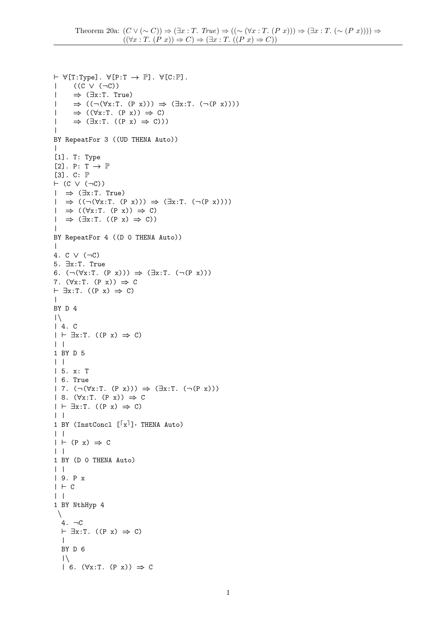```
\vdash \forall[T:Type]. \forall[P:T \rightarrow \mathbb{P}]. \forall[C:\mathbb{P}].
| ((C ∨ (¬C))
| ⇒ (∃x:T. True)
|\Rightarrow ((\neg(\forall x:T. (P x))) \Rightarrow (\exists x:T. (\neg(P x))))|\Rightarrow ((\forall x : T. (P x)) \Rightarrow C)|\Rightarrow (\exists x : T. ((P x) \Rightarrow C)))\perpBY RepeatFor 3 ((UD THENA Auto))
\blacksquare[1]. T: Type
[2]. P: T \rightarrow \mathbb{P}[3]. C: \mathbb{P}\vdash (C \lor (\negC))
| ⇒ (∃x:T. True)
|\Rightarrow ((\neg(\forall x:T. (P x))) \Rightarrow (\exists x:T. (\neg(P x))))|\Rightarrow ((\forall x : T. (P x)) \Rightarrow C)|\Rightarrow (\exists x : T. ((P x) \Rightarrow C))\blacksquareBY RepeatFor 4 ((D 0 THENA Auto))
\perp4. C ∨ (¬C)
5. ∃x:T. True
6. (\neg(\forall x:T. (P x))) \Rightarrow (\exists x:T. (\neg(P x)))7. (\forall x : T. (P x)) \Rightarrow C\vdash \exists x : T. ((P x) \Rightarrow C)\perpBY D 4
|\!\!|\, \backslash\!\!|| 4. C
| \vdash \exists x : T. ((P x) \Rightarrow C)| |
1 BY D 5
| \cdot || 5. x: T
| 6. True
| 7. (\neg(\forall x:T. (P x))) \Rightarrow (\exists x:T. (\neg(P x)))| 8. (\forall x : T. (P x)) \Rightarrow C| \vdash \exists x : T. ((P x) \Rightarrow C)| |
1 BY (InstConcl [\lceil x \rceil] THENA Auto)
| || + (P x) \Rightarrow C| \ \ |1 BY (D 0 THENA Auto)
| |
| 9. P x
| + c| |
1 BY NthHyp 4
 \setminus4. \negC
  \vdash \exists x : T. ((P x) \Rightarrow C)\|BY D 6
   |\setminus|| 6. (\forall x : T. (P x)) \Rightarrow C
```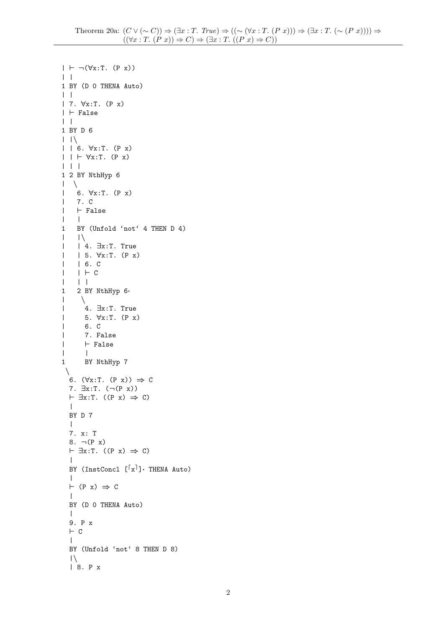```
| \vdash \neg(\forall x : T. (P x))| |1 BY (D 0 THENA Auto)
| \cdot || 7. ∀x:T. (P x)
| \vdash False
| \cdot |1 BY D 6
| \ \ | \ \| | 6. ∀x:T. (P x)
| | \vdash \forall x:T. (P x)
| | |
1 2 BY NthHyp 6
| \ \setminus| 6. ∀x:T. (P x)
| 7. C
| \vdash False
| \cdot |1 BY (Unfold 'not' 4 THEN D 4)
|\hspace{-.02in}|-|\vert | 4. \existsx:T. True
| | 5. ∀x:T. (P x)
| | 6. C
| | ` C
| | |
1 2 BY NthHyp 6·
\vert \quad \rangle| 4. ∃x:T. True
| 5. ∀x:T. (P x)
| 6. C
| 7. False
| \vdash False
| |
1 BY NthHyp 7
 \setminus6. (\forall x : T. (P x)) \Rightarrow C7. \exists x : T. \; (\neg (P x))\vdash \exists x : T. ((P x) \Rightarrow C)\|BY D 7
  \blacksquare7. x: T
  8. \neg (P x)\vdash \exists x : T. ((P x) \Rightarrow C)\blacksquareBY (InstConcl [\lceil x \rceil]: THENA Auto)
  \blacksquare\vdash (P x) \Rightarrow C
   \perpBY (D 0 THENA Auto)
  \blacksquare9. P x
  \vdash C
  \perpBY (Unfold 'not' 8 THEN D 8)
  |\setminus|| 8. P x
```